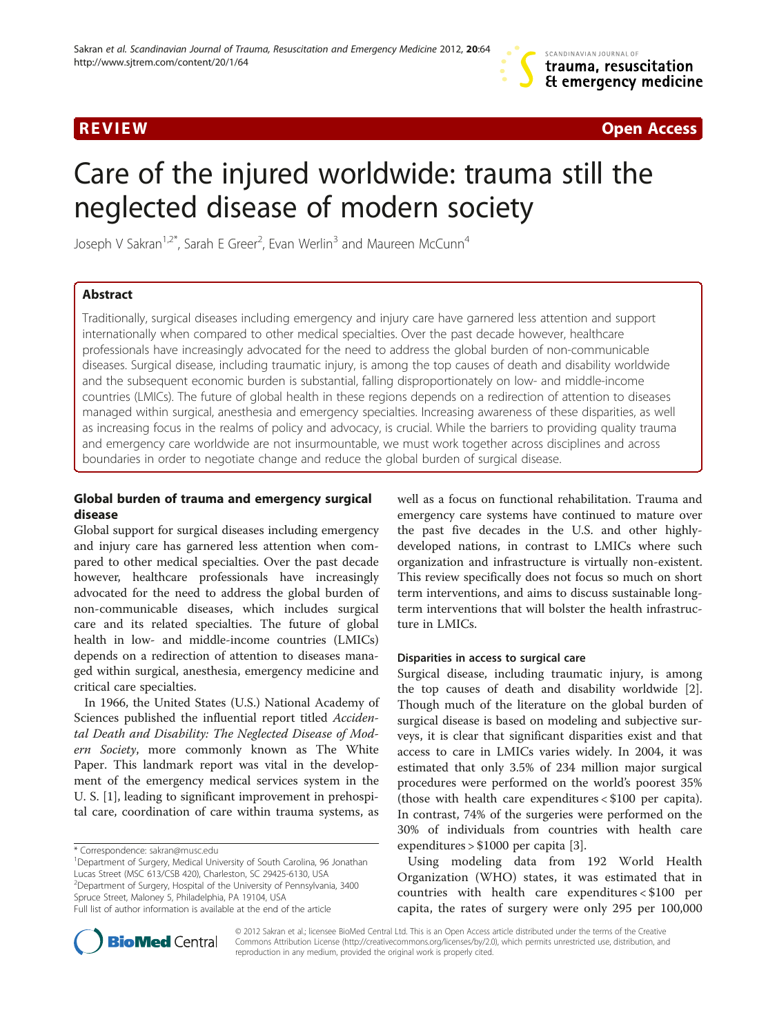**REVIEW CONSUMING A REVIEW CONSUMING A REVIEW CONSUMING A REVIEW CONSUMING A REVIEW CONSUMING A REVIEW OPEN ACCESS** 

# Care of the injured worldwide: trauma still the neglected disease of modern society

Joseph V Sakran<sup>1,2\*</sup>, Sarah E Greer<sup>2</sup>, Evan Werlin<sup>3</sup> and Maureen McCunn<sup>4</sup>

# Abstract

Traditionally, surgical diseases including emergency and injury care have garnered less attention and support internationally when compared to other medical specialties. Over the past decade however, healthcare professionals have increasingly advocated for the need to address the global burden of non-communicable diseases. Surgical disease, including traumatic injury, is among the top causes of death and disability worldwide and the subsequent economic burden is substantial, falling disproportionately on low- and middle-income countries (LMICs). The future of global health in these regions depends on a redirection of attention to diseases managed within surgical, anesthesia and emergency specialties. Increasing awareness of these disparities, as well as increasing focus in the realms of policy and advocacy, is crucial. While the barriers to providing quality trauma and emergency care worldwide are not insurmountable, we must work together across disciplines and across boundaries in order to negotiate change and reduce the global burden of surgical disease.

# Global burden of trauma and emergency surgical disease

Global support for surgical diseases including emergency and injury care has garnered less attention when compared to other medical specialties. Over the past decade however, healthcare professionals have increasingly advocated for the need to address the global burden of non-communicable diseases, which includes surgical care and its related specialties. The future of global health in low- and middle-income countries (LMICs) depends on a redirection of attention to diseases managed within surgical, anesthesia, emergency medicine and critical care specialties.

In 1966, the United States (U.S.) National Academy of Sciences published the influential report titled Accidental Death and Disability: The Neglected Disease of Modern Society, more commonly known as The White Paper. This landmark report was vital in the development of the emergency medical services system in the U. S. [\[1\]](#page-4-0), leading to significant improvement in prehospital care, coordination of care within trauma systems, as

<sup>1</sup>Department of Surgery, Medical University of South Carolina, 96 Jonathan Lucas Street (MSC 613/CSB 420), Charleston, SC 29425-6130, USA <sup>2</sup>Department of Surgery, Hospital of the University of Pennsylvania, 3400 Spruce Street, Maloney 5, Philadelphia, PA 19104, USA Full list of author information is available at the end of the article

well as a focus on functional rehabilitation. Trauma and emergency care systems have continued to mature over the past five decades in the U.S. and other highlydeveloped nations, in contrast to LMICs where such organization and infrastructure is virtually non-existent. This review specifically does not focus so much on short term interventions, and aims to discuss sustainable longterm interventions that will bolster the health infrastructure in LMICs.

# Disparities in access to surgical care

Surgical disease, including traumatic injury, is among the top causes of death and disability worldwide [\[2](#page-4-0)]. Though much of the literature on the global burden of surgical disease is based on modeling and subjective surveys, it is clear that significant disparities exist and that access to care in LMICs varies widely. In 2004, it was estimated that only 3.5% of 234 million major surgical procedures were performed on the world's poorest 35% (those with health care expenditures < \$100 per capita). In contrast, 74% of the surgeries were performed on the 30% of individuals from countries with health care expenditures > \$1000 per capita [[3\]](#page-4-0).

Using modeling data from 192 World Health Organization (WHO) states, it was estimated that in countries with health care expenditures < \$100 per capita, the rates of surgery were only 295 per 100,000



© 2012 Sakran et al.; licensee BioMed Central Ltd. This is an Open Access article distributed under the terms of the Creative Commons Attribution License [\(http://creativecommons.org/licenses/by/2.0\)](http://creativecommons.org/licenses/by/2.0), which permits unrestricted use, distribution, and reproduction in any medium, provided the original work is properly cited.

<sup>\*</sup> Correspondence: [sakran@musc.edu](mailto:sakran@musc.edu) <sup>1</sup>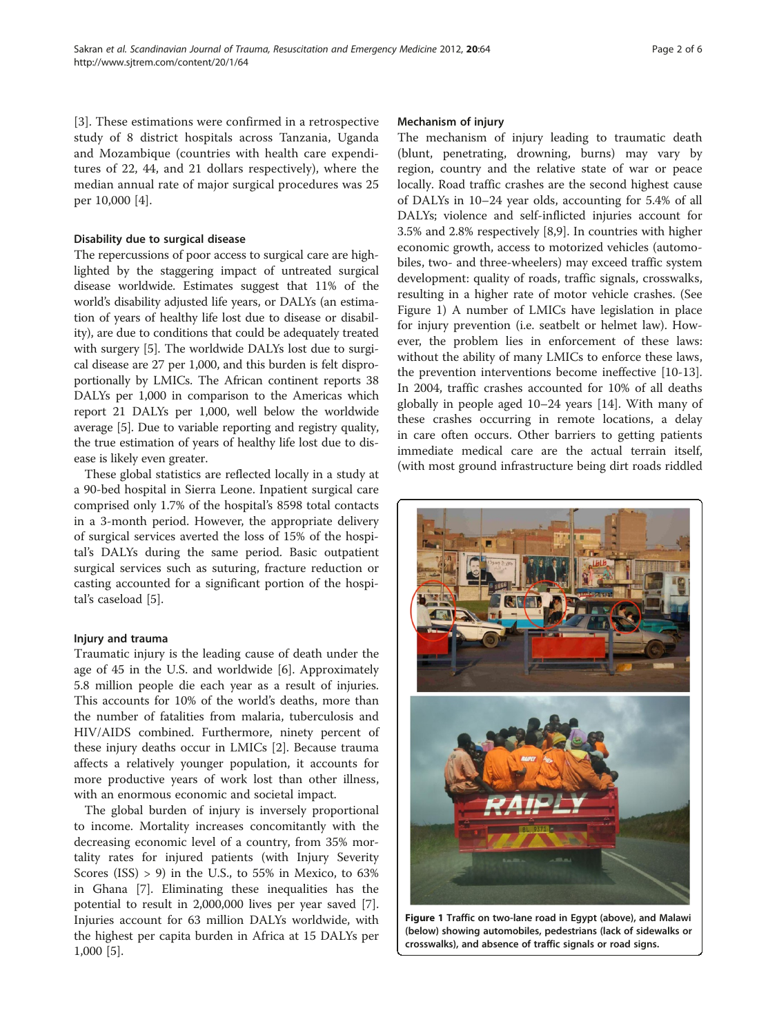[[3\]](#page-4-0). These estimations were confirmed in a retrospective study of 8 district hospitals across Tanzania, Uganda and Mozambique (countries with health care expenditures of 22, 44, and 21 dollars respectively), where the median annual rate of major surgical procedures was 25 per 10,000 [\[4](#page-4-0)].

## Disability due to surgical disease

The repercussions of poor access to surgical care are highlighted by the staggering impact of untreated surgical disease worldwide. Estimates suggest that 11% of the world's disability adjusted life years, or DALYs (an estimation of years of healthy life lost due to disease or disability), are due to conditions that could be adequately treated with surgery [\[5\]](#page-4-0). The worldwide DALYs lost due to surgical disease are 27 per 1,000, and this burden is felt disproportionally by LMICs. The African continent reports 38 DALYs per 1,000 in comparison to the Americas which report 21 DALYs per 1,000, well below the worldwide average [[5](#page-4-0)]. Due to variable reporting and registry quality, the true estimation of years of healthy life lost due to disease is likely even greater.

These global statistics are reflected locally in a study at a 90-bed hospital in Sierra Leone. Inpatient surgical care comprised only 1.7% of the hospital's 8598 total contacts in a 3-month period. However, the appropriate delivery of surgical services averted the loss of 15% of the hospital's DALYs during the same period. Basic outpatient surgical services such as suturing, fracture reduction or casting accounted for a significant portion of the hospital's caseload [\[5](#page-4-0)].

## Injury and trauma

Traumatic injury is the leading cause of death under the age of 45 in the U.S. and worldwide [[6\]](#page-4-0). Approximately 5.8 million people die each year as a result of injuries. This accounts for 10% of the world's deaths, more than the number of fatalities from malaria, tuberculosis and HIV/AIDS combined. Furthermore, ninety percent of these injury deaths occur in LMICs [[2](#page-4-0)]. Because trauma affects a relatively younger population, it accounts for more productive years of work lost than other illness, with an enormous economic and societal impact.

The global burden of injury is inversely proportional to income. Mortality increases concomitantly with the decreasing economic level of a country, from 35% mortality rates for injured patients (with Injury Severity Scores (ISS) > 9) in the U.S., to 55% in Mexico, to 63% in Ghana [\[7](#page-4-0)]. Eliminating these inequalities has the potential to result in 2,000,000 lives per year saved [\[7](#page-4-0)]. Injuries account for 63 million DALYs worldwide, with the highest per capita burden in Africa at 15 DALYs per 1,000 [[5\]](#page-4-0).

#### Mechanism of injury

The mechanism of injury leading to traumatic death (blunt, penetrating, drowning, burns) may vary by region, country and the relative state of war or peace locally. Road traffic crashes are the second highest cause of DALYs in 10–24 year olds, accounting for 5.4% of all DALYs; violence and self-inflicted injuries account for 3.5% and 2.8% respectively [[8](#page-4-0),[9](#page-4-0)]. In countries with higher economic growth, access to motorized vehicles (automobiles, two- and three-wheelers) may exceed traffic system development: quality of roads, traffic signals, crosswalks, resulting in a higher rate of motor vehicle crashes. (See Figure 1) A number of LMICs have legislation in place for injury prevention (i.e. seatbelt or helmet law). However, the problem lies in enforcement of these laws: without the ability of many LMICs to enforce these laws, the prevention interventions become ineffective [\[10-13](#page-4-0)]. In 2004, traffic crashes accounted for 10% of all deaths globally in people aged 10–24 years [\[14\]](#page-4-0). With many of these crashes occurring in remote locations, a delay in care often occurs. Other barriers to getting patients immediate medical care are the actual terrain itself, (with most ground infrastructure being dirt roads riddled



Figure 1 Traffic on two-lane road in Egypt (above), and Malawi (below) showing automobiles, pedestrians (lack of sidewalks or crosswalks), and absence of traffic signals or road signs.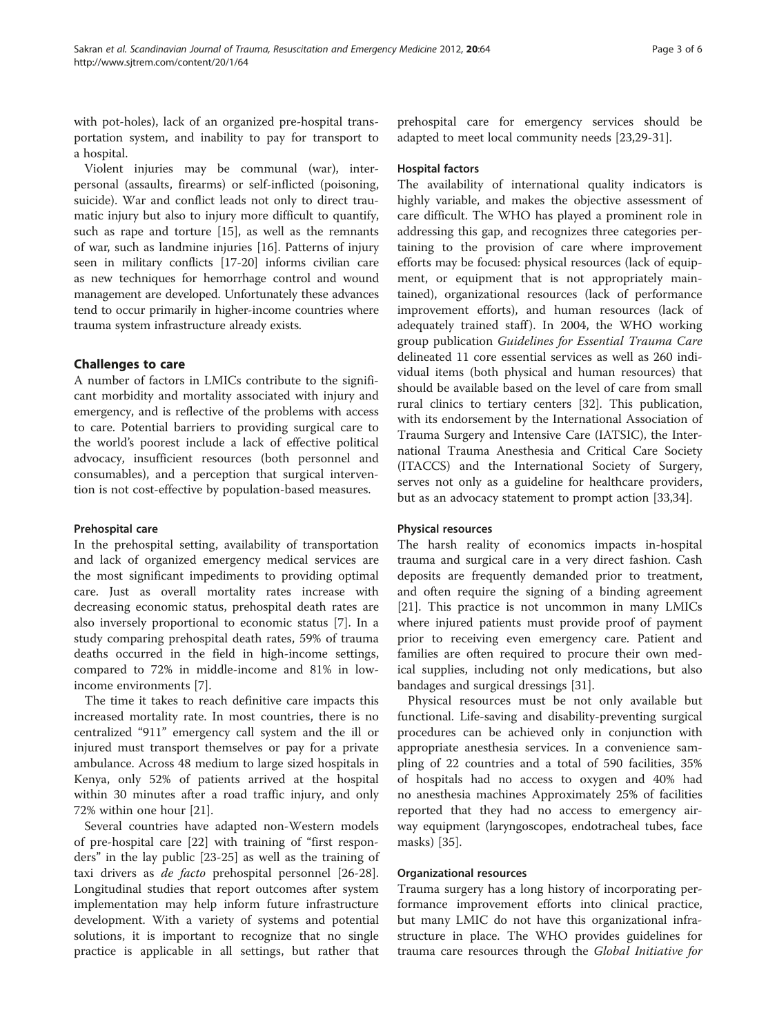with pot-holes), lack of an organized pre-hospital transportation system, and inability to pay for transport to a hospital.

Violent injuries may be communal (war), interpersonal (assaults, firearms) or self-inflicted (poisoning, suicide). War and conflict leads not only to direct traumatic injury but also to injury more difficult to quantify, such as rape and torture [[15](#page-4-0)], as well as the remnants of war, such as landmine injuries [\[16\]](#page-4-0). Patterns of injury seen in military conflicts [\[17-](#page-4-0)[20\]](#page-5-0) informs civilian care as new techniques for hemorrhage control and wound management are developed. Unfortunately these advances tend to occur primarily in higher-income countries where trauma system infrastructure already exists.

# Challenges to care

A number of factors in LMICs contribute to the significant morbidity and mortality associated with injury and emergency, and is reflective of the problems with access to care. Potential barriers to providing surgical care to the world's poorest include a lack of effective political advocacy, insufficient resources (both personnel and consumables), and a perception that surgical intervention is not cost-effective by population-based measures.

#### Prehospital care

In the prehospital setting, availability of transportation and lack of organized emergency medical services are the most significant impediments to providing optimal care. Just as overall mortality rates increase with decreasing economic status, prehospital death rates are also inversely proportional to economic status [[7\]](#page-4-0). In a study comparing prehospital death rates, 59% of trauma deaths occurred in the field in high-income settings, compared to 72% in middle-income and 81% in lowincome environments [[7\]](#page-4-0).

The time it takes to reach definitive care impacts this increased mortality rate. In most countries, there is no centralized "911" emergency call system and the ill or injured must transport themselves or pay for a private ambulance. Across 48 medium to large sized hospitals in Kenya, only 52% of patients arrived at the hospital within 30 minutes after a road traffic injury, and only 72% within one hour [[21](#page-5-0)].

Several countries have adapted non-Western models of pre-hospital care [[22\]](#page-5-0) with training of "first responders" in the lay public [\[23](#page-5-0)-[25\]](#page-5-0) as well as the training of taxi drivers as de facto prehospital personnel [\[26-28](#page-5-0)]. Longitudinal studies that report outcomes after system implementation may help inform future infrastructure development. With a variety of systems and potential solutions, it is important to recognize that no single practice is applicable in all settings, but rather that prehospital care for emergency services should be adapted to meet local community needs [[23,29-31](#page-5-0)].

# Hospital factors

The availability of international quality indicators is highly variable, and makes the objective assessment of care difficult. The WHO has played a prominent role in addressing this gap, and recognizes three categories pertaining to the provision of care where improvement efforts may be focused: physical resources (lack of equipment, or equipment that is not appropriately maintained), organizational resources (lack of performance improvement efforts), and human resources (lack of adequately trained staff). In 2004, the WHO working group publication Guidelines for Essential Trauma Care delineated 11 core essential services as well as 260 individual items (both physical and human resources) that should be available based on the level of care from small rural clinics to tertiary centers [[32\]](#page-5-0). This publication, with its endorsement by the International Association of Trauma Surgery and Intensive Care (IATSIC), the International Trauma Anesthesia and Critical Care Society (ITACCS) and the International Society of Surgery, serves not only as a guideline for healthcare providers, but as an advocacy statement to prompt action [[33,34\]](#page-5-0).

#### Physical resources

The harsh reality of economics impacts in-hospital trauma and surgical care in a very direct fashion. Cash deposits are frequently demanded prior to treatment, and often require the signing of a binding agreement [[21\]](#page-5-0). This practice is not uncommon in many LMICs where injured patients must provide proof of payment prior to receiving even emergency care. Patient and families are often required to procure their own medical supplies, including not only medications, but also bandages and surgical dressings [[31\]](#page-5-0).

Physical resources must be not only available but functional. Life-saving and disability-preventing surgical procedures can be achieved only in conjunction with appropriate anesthesia services. In a convenience sampling of 22 countries and a total of 590 facilities, 35% of hospitals had no access to oxygen and 40% had no anesthesia machines Approximately 25% of facilities reported that they had no access to emergency airway equipment (laryngoscopes, endotracheal tubes, face masks) [\[35\]](#page-5-0).

#### Organizational resources

Trauma surgery has a long history of incorporating performance improvement efforts into clinical practice, but many LMIC do not have this organizational infrastructure in place. The WHO provides guidelines for trauma care resources through the Global Initiative for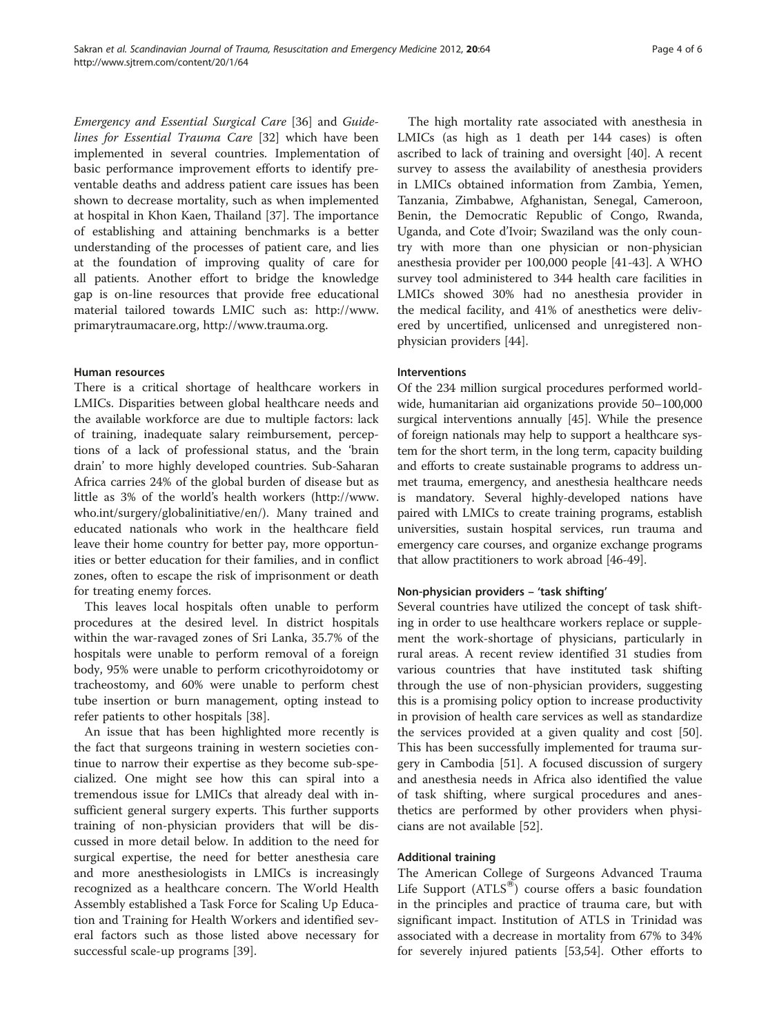Emergency and Essential Surgical Care [[36\]](#page-5-0) and Guidelines for Essential Trauma Care [\[32](#page-5-0)] which have been implemented in several countries. Implementation of basic performance improvement efforts to identify preventable deaths and address patient care issues has been shown to decrease mortality, such as when implemented at hospital in Khon Kaen, Thailand [[37\]](#page-5-0). The importance of establishing and attaining benchmarks is a better understanding of the processes of patient care, and lies at the foundation of improving quality of care for all patients. Another effort to bridge the knowledge gap is on-line resources that provide free educational material tailored towards LMIC such as: [http://www.](http://www.primarytraumacare.org) [primarytraumacare.org](http://www.primarytraumacare.org),<http://www.trauma.org>.

#### Human resources

There is a critical shortage of healthcare workers in LMICs. Disparities between global healthcare needs and the available workforce are due to multiple factors: lack of training, inadequate salary reimbursement, perceptions of a lack of professional status, and the 'brain drain' to more highly developed countries. Sub-Saharan Africa carries 24% of the global burden of disease but as little as 3% of the world's health workers ([http://www.](http://www.who.int/surgery/globalinitiative/en/) [who.int/surgery/globalinitiative/en/](http://www.who.int/surgery/globalinitiative/en/)). Many trained and educated nationals who work in the healthcare field leave their home country for better pay, more opportunities or better education for their families, and in conflict zones, often to escape the risk of imprisonment or death for treating enemy forces.

This leaves local hospitals often unable to perform procedures at the desired level. In district hospitals within the war-ravaged zones of Sri Lanka, 35.7% of the hospitals were unable to perform removal of a foreign body, 95% were unable to perform cricothyroidotomy or tracheostomy, and 60% were unable to perform chest tube insertion or burn management, opting instead to refer patients to other hospitals [[38](#page-5-0)].

An issue that has been highlighted more recently is the fact that surgeons training in western societies continue to narrow their expertise as they become sub-specialized. One might see how this can spiral into a tremendous issue for LMICs that already deal with insufficient general surgery experts. This further supports training of non-physician providers that will be discussed in more detail below. In addition to the need for surgical expertise, the need for better anesthesia care and more anesthesiologists in LMICs is increasingly recognized as a healthcare concern. The World Health Assembly established a Task Force for Scaling Up Education and Training for Health Workers and identified several factors such as those listed above necessary for successful scale-up programs [[39\]](#page-5-0).

The high mortality rate associated with anesthesia in LMICs (as high as 1 death per 144 cases) is often ascribed to lack of training and oversight [[40](#page-5-0)]. A recent survey to assess the availability of anesthesia providers in LMICs obtained information from Zambia, Yemen, Tanzania, Zimbabwe, Afghanistan, Senegal, Cameroon, Benin, the Democratic Republic of Congo, Rwanda, Uganda, and Cote d'Ivoir; Swaziland was the only country with more than one physician or non-physician anesthesia provider per 100,000 people [[41](#page-5-0)-[43\]](#page-5-0). A WHO survey tool administered to 344 health care facilities in LMICs showed 30% had no anesthesia provider in the medical facility, and 41% of anesthetics were delivered by uncertified, unlicensed and unregistered nonphysician providers [[44\]](#page-5-0).

#### Interventions

Of the 234 million surgical procedures performed worldwide, humanitarian aid organizations provide 50–100,000 surgical interventions annually [\[45](#page-5-0)]. While the presence of foreign nationals may help to support a healthcare system for the short term, in the long term, capacity building and efforts to create sustainable programs to address unmet trauma, emergency, and anesthesia healthcare needs is mandatory. Several highly-developed nations have paired with LMICs to create training programs, establish universities, sustain hospital services, run trauma and emergency care courses, and organize exchange programs that allow practitioners to work abroad [[46-49\]](#page-5-0).

#### Non-physician providers – 'task shifting'

Several countries have utilized the concept of task shifting in order to use healthcare workers replace or supplement the work-shortage of physicians, particularly in rural areas. A recent review identified 31 studies from various countries that have instituted task shifting through the use of non-physician providers, suggesting this is a promising policy option to increase productivity in provision of health care services as well as standardize the services provided at a given quality and cost [\[50](#page-5-0)]. This has been successfully implemented for trauma surgery in Cambodia [\[51](#page-5-0)]. A focused discussion of surgery and anesthesia needs in Africa also identified the value of task shifting, where surgical procedures and anesthetics are performed by other providers when physicians are not available [\[52\]](#page-5-0).

#### Additional training

The American College of Surgeons Advanced Trauma Life Support  $(ATLS^@)$  course offers a basic foundation in the principles and practice of trauma care, but with significant impact. Institution of ATLS in Trinidad was associated with a decrease in mortality from 67% to 34% for severely injured patients [[53,54\]](#page-5-0). Other efforts to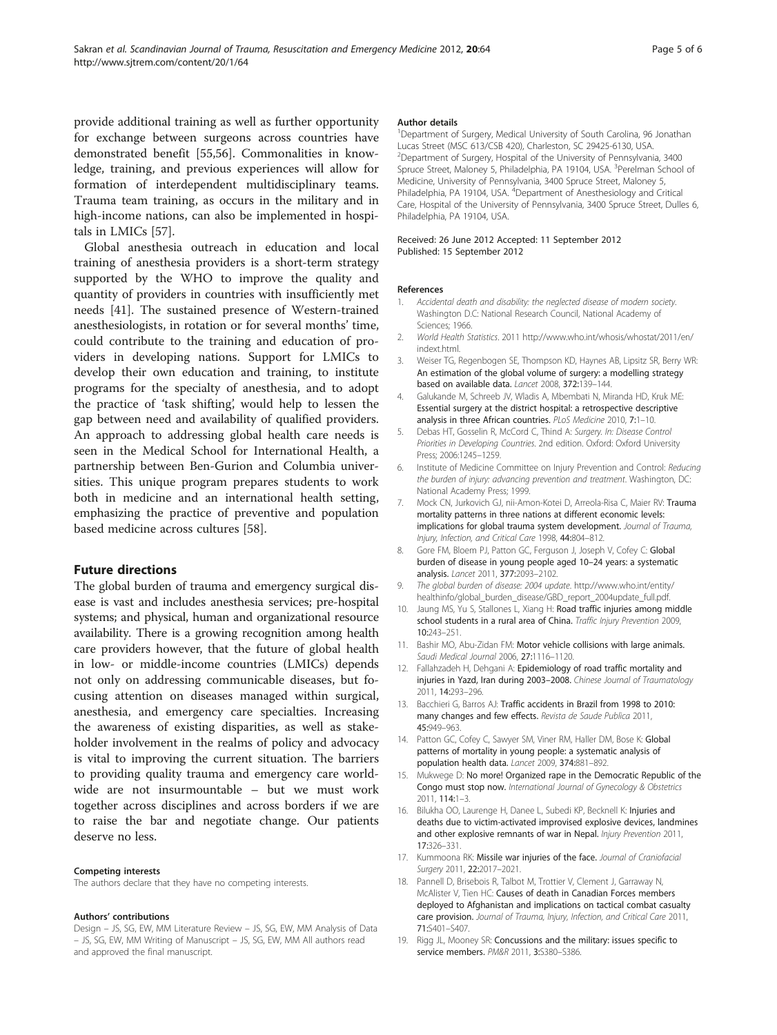<span id="page-4-0"></span>provide additional training as well as further opportunity for exchange between surgeons across countries have demonstrated benefit [\[55,56](#page-5-0)]. Commonalities in knowledge, training, and previous experiences will allow for formation of interdependent multidisciplinary teams. Trauma team training, as occurs in the military and in high-income nations, can also be implemented in hospitals in LMICs [[57\]](#page-5-0).

Global anesthesia outreach in education and local training of anesthesia providers is a short-term strategy supported by the WHO to improve the quality and quantity of providers in countries with insufficiently met needs [[41](#page-5-0)]. The sustained presence of Western-trained anesthesiologists, in rotation or for several months' time, could contribute to the training and education of providers in developing nations. Support for LMICs to develop their own education and training, to institute programs for the specialty of anesthesia, and to adopt the practice of 'task shifting', would help to lessen the gap between need and availability of qualified providers. An approach to addressing global health care needs is seen in the Medical School for International Health, a partnership between Ben-Gurion and Columbia universities. This unique program prepares students to work both in medicine and an international health setting, emphasizing the practice of preventive and population based medicine across cultures [[58](#page-5-0)].

#### Future directions

The global burden of trauma and emergency surgical disease is vast and includes anesthesia services; pre-hospital systems; and physical, human and organizational resource availability. There is a growing recognition among health care providers however, that the future of global health in low- or middle-income countries (LMICs) depends not only on addressing communicable diseases, but focusing attention on diseases managed within surgical, anesthesia, and emergency care specialties. Increasing the awareness of existing disparities, as well as stakeholder involvement in the realms of policy and advocacy is vital to improving the current situation. The barriers to providing quality trauma and emergency care worldwide are not insurmountable – but we must work together across disciplines and across borders if we are to raise the bar and negotiate change. Our patients deserve no less.

#### Competing interests

The authors declare that they have no competing interests.

#### Authors' contributions

Design – JS, SG, EW, MM Literature Review – JS, SG, EW, MM Analysis of Data – JS, SG, EW, MM Writing of Manuscript – JS, SG, EW, MM All authors read and approved the final manuscript.

#### Author details

<sup>1</sup>Department of Surgery, Medical University of South Carolina, 96 Jonathan Lucas Street (MSC 613/CSB 420), Charleston, SC 29425-6130, USA. <sup>2</sup>Department of Surgery, Hospital of the University of Pennsylvania, 3400 Spruce Street, Maloney 5, Philadelphia, PA 19104, USA. <sup>3</sup>Perelman School of Medicine, University of Pennsylvania, 3400 Spruce Street, Maloney 5, Philadelphia, PA 19104, USA. <sup>4</sup>Department of Anesthesiology and Critical Care, Hospital of the University of Pennsylvania, 3400 Spruce Street, Dulles 6, Philadelphia, PA 19104, USA.

#### Received: 26 June 2012 Accepted: 11 September 2012 Published: 15 September 2012

#### References

- 1. Accidental death and disability: the neglected disease of modern society. Washington D.C: National Research Council, National Academy of Sciences; 1966.
- 2. World Health Statistics. 2011 [http://www.who.int/whosis/whostat/2011/en/](http://www.who.int/whosis/whostat/2011/en/indext.html) [indext.html.](http://www.who.int/whosis/whostat/2011/en/indext.html)
- 3. Weiser TG, Regenbogen SE, Thompson KD, Haynes AB, Lipsitz SR, Berry WR: An estimation of the global volume of surgery: a modelling strategy based on available data. Lancet 2008, 372:139–144.
- 4. Galukande M, Schreeb JV, Wladis A, Mbembati N, Miranda HD, Kruk ME: Essential surgery at the district hospital: a retrospective descriptive analysis in three African countries. PLoS Medicine 2010, 7:1–10.
- 5. Debas HT, Gosselin R, McCord C, Thind A: Surgery. In: Disease Control Priorities in Developing Countries. 2nd edition. Oxford: Oxford University Press; 2006:1245–1259.
- 6. Institute of Medicine Committee on Injury Prevention and Control: Reducing the burden of injury: advancing prevention and treatment. Washington, DC: National Academy Press; 1999.
- 7. Mock CN, Jurkovich GJ, nii-Amon-Kotei D, Arreola-Risa C, Maier RV: Trauma mortality patterns in three nations at different economic levels: implications for global trauma system development. Journal of Trauma, Injury, Infection, and Critical Care 1998, 44:804–812.
- 8. Gore FM, Bloem PJ, Patton GC, Ferguson J, Joseph V, Cofey C: Global burden of disease in young people aged 10–24 years: a systematic analysis. Lancet 2011, 377:2093–2102.
- The global burden of disease: 2004 update. [http://www.who.int/entity/](http://www.who.int/entity/healthinfo/global_burden_disease/GBD_report_2004update_full.pdf) [healthinfo/global\\_burden\\_disease/GBD\\_report\\_2004update\\_full.pdf.](http://www.who.int/entity/healthinfo/global_burden_disease/GBD_report_2004update_full.pdf)
- 10. Jaung MS, Yu S, Stallones L, Xiang H: Road traffic injuries among middle school students in a rural area of China. Traffic Injury Prevention 2009, 10:243–251.
- 11. Bashir MO, Abu-Zidan FM: Motor vehicle collisions with large animals. Saudi Medical Journal 2006, 27:1116–1120.
- 12. Fallahzadeh H, Dehgani A: Epidemiology of road traffic mortality and injuries in Yazd, Iran during 2003–2008. Chinese Journal of Traumatology 2011, 14:293–296.
- 13. Bacchieri G, Barros AJ: Traffic accidents in Brazil from 1998 to 2010: many changes and few effects. Revista de Saude Publica 2011, 45:949–963.
- 14. Patton GC, Cofey C, Sawyer SM, Viner RM, Haller DM, Bose K: Global patterns of mortality in young people: a systematic analysis of population health data. Lancet 2009, 374:881–892.
- 15. Mukwege D: No more! Organized rape in the Democratic Republic of the Congo must stop now. International Journal of Gynecology & Obstetrics 2011, 114:1–3.
- 16. Bilukha OO, Laurenge H, Danee L, Subedi KP, Becknell K: Injuries and deaths due to victim-activated improvised explosive devices, landmines and other explosive remnants of war in Nepal. Injury Prevention 2011, 17:326–331.
- 17. Kummoona RK: Missile war injuries of the face. Journal of Craniofacial Surgery 2011, 22:2017–2021.
- 18. Pannell D, Brisebois R, Talbot M, Trottier V, Clement J, Garraway N, McAlister V, Tien HC: Causes of death in Canadian Forces members deployed to Afghanistan and implications on tactical combat casualty care provision. Journal of Trauma, Injury, Infection, and Critical Care 2011, 71:S401–S407.
- 19. Rigg JL, Mooney SR: Concussions and the military: issues specific to service members. PM&R 2011, 3:S380–S386.